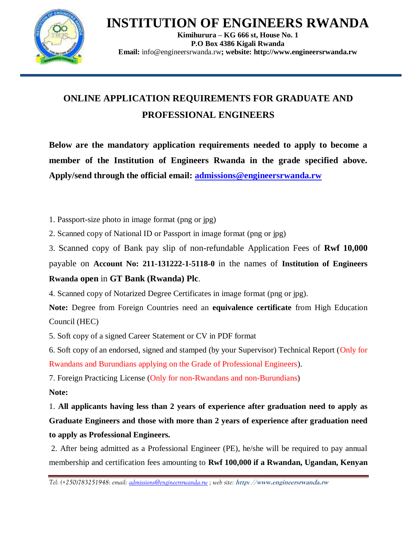**INSTITUTION OF ENGINEERS RWANDA**



**Kimihurura – KG 666 st, House No. 1 P.O Box 4386 Kigali Rwanda Email:** [info@engineersrwanda.rw](mailto:info@engineersrwanda.rw)**; website: http://www.engineersrwanda.rw**

## **ONLINE APPLICATION REQUIREMENTS FOR GRADUATE AND PROFESSIONAL ENGINEERS**

**Below are the mandatory application requirements needed to apply to become a member of the Institution of Engineers Rwanda in the grade specified above. Apply/send through the official email: [admissions@engineersrwanda.rw](mailto:admissions@engineersrwanda.rw)**

1. Passport-size photo in image format (png or jpg)

2. Scanned copy of National ID or Passport in image format (png or jpg)

3. Scanned copy of Bank pay slip of non-refundable Application Fees of **Rwf 10,000**  payable on **Account No: 211-131222-1-5118-0** in the names of **Institution of Engineers Rwanda open** in **GT Bank (Rwanda) Plc**.

4. Scanned copy of Notarized Degree Certificates in image format (png or jpg).

**Note:** Degree from Foreign Countries need an **equivalence certificate** from High Education Council (HEC)

5. Soft copy of a signed Career Statement or CV in PDF format

6. Soft copy of an endorsed, signed and stamped (by your Supervisor) Technical Report (Only for Rwandans and Burundians applying on the Grade of Professional Engineers).

7. Foreign Practicing License (Only for non-Rwandans and non-Burundians)

## **Note:**

1. **All applicants having less than 2 years of experience after graduation need to apply as Graduate Engineers and those with more than 2 years of experience after graduation need to apply as Professional Engineers.**

2. After being admitted as a Professional Engineer (PE), he/she will be required to pay annual membership and certification fees amounting to **Rwf 100,000 if a Rwandan, Ugandan, Kenyan** 

*Tel: (+250)783251948: email[: admissions@engineersrwanda.rw](mailto:admissions@engineersrwanda.rw) ; web site:* **http: //www.engineersrwanda.rw**